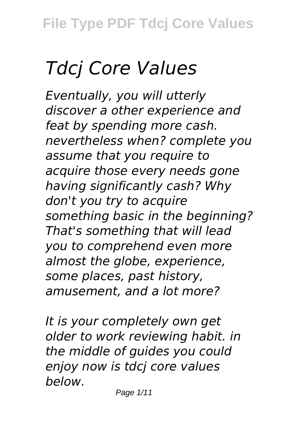## *Tdcj Core Values*

*Eventually, you will utterly discover a other experience and feat by spending more cash. nevertheless when? complete you assume that you require to acquire those every needs gone having significantly cash? Why don't you try to acquire something basic in the beginning? That's something that will lead you to comprehend even more almost the globe, experience, some places, past history, amusement, and a lot more?*

*It is your completely own get older to work reviewing habit. in the middle of guides you could enjoy now is tdcj core values below.*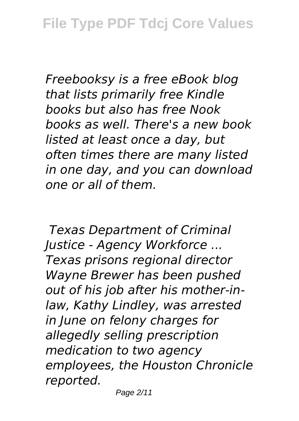*Freebooksy is a free eBook blog that lists primarily free Kindle books but also has free Nook books as well. There's a new book listed at least once a day, but often times there are many listed in one day, and you can download one or all of them.*

*Texas Department of Criminal Justice - Agency Workforce ... Texas prisons regional director Wayne Brewer has been pushed out of his job after his mother-inlaw, Kathy Lindley, was arrested in June on felony charges for allegedly selling prescription medication to two agency employees, the Houston Chronicle reported.*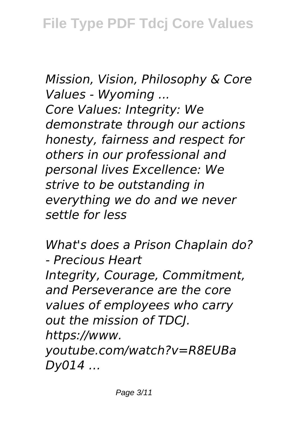*Mission, Vision, Philosophy & Core Values - Wyoming ... Core Values: Integrity: We demonstrate through our actions honesty, fairness and respect for others in our professional and personal lives Excellence: We strive to be outstanding in everything we do and we never settle for less*

*What's does a Prison Chaplain do? - Precious Heart Integrity, Courage, Commitment, and Perseverance are the core values of employees who carry out the mission of TDCJ. https://www. youtube.com/watch?v=R8EUBa Dy014 …*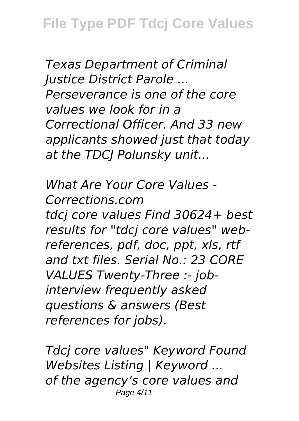*Texas Department of Criminal Justice District Parole ... Perseverance is one of the core values we look for in a Correctional Officer. And 33 new applicants showed just that today at the TDCJ Polunsky unit...*

*What Are Your Core Values - Corrections.com tdcj core values Find 30624+ best results for "tdcj core values" webreferences, pdf, doc, ppt, xls, rtf and txt files. Serial No.: 23 CORE VALUES Twenty-Three :- jobinterview frequently asked questions & answers (Best references for jobs).*

*Tdcj core values" Keyword Found Websites Listing | Keyword ... of the agency's core values and* Page 4/11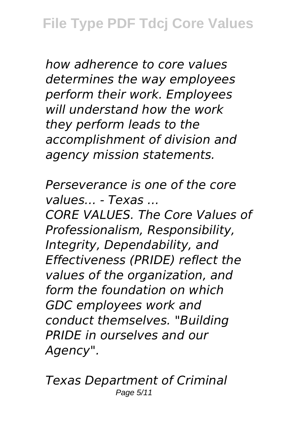*how adherence to core values determines the way employees perform their work. Employees will understand how the work they perform leads to the accomplishment of division and agency mission statements.*

*Perseverance is one of the core values... - Texas ... CORE VALUES. The Core Values of Professionalism, Responsibility, Integrity, Dependability, and Effectiveness (PRIDE) reflect the values of the organization, and form the foundation on which GDC employees work and conduct themselves. "Building PRIDE in ourselves and our Agency".*

*Texas Department of Criminal* Page 5/11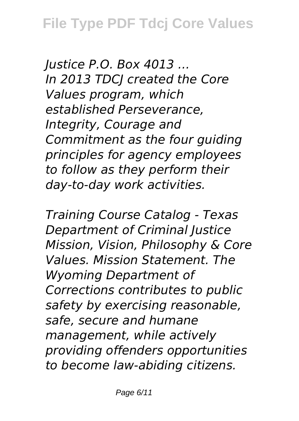*Justice P.O. Box 4013 ... In 2013 TDCJ created the Core Values program, which established Perseverance, Integrity, Courage and Commitment as the four guiding principles for agency employees to follow as they perform their day-to-day work activities.*

*Training Course Catalog - Texas Department of Criminal Justice Mission, Vision, Philosophy & Core Values. Mission Statement. The Wyoming Department of Corrections contributes to public safety by exercising reasonable, safe, secure and humane management, while actively providing offenders opportunities to become law-abiding citizens.*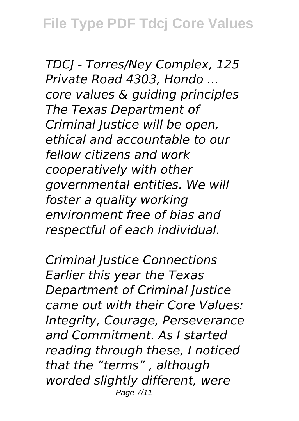**File Type PDF Tdcj Core Values**

*TDCJ - Torres/Ney Complex, 125 Private Road 4303, Hondo ... core values & guiding principles The Texas Department of Criminal Justice will be open, ethical and accountable to our fellow citizens and work cooperatively with other governmental entities. We will foster a quality working environment free of bias and respectful of each individual.*

*Criminal Justice Connections Earlier this year the Texas Department of Criminal Justice came out with their Core Values: Integrity, Courage, Perseverance and Commitment. As I started reading through these, I noticed that the "terms" , although worded slightly different, were* Page 7/11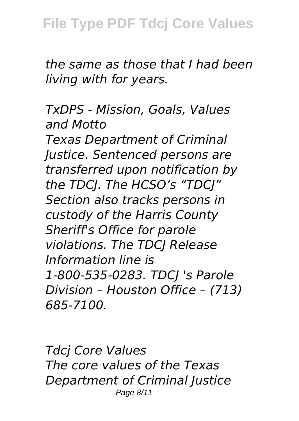*the same as those that I had been living with for years.*

*TxDPS - Mission, Goals, Values and Motto Texas Department of Criminal Justice. Sentenced persons are transferred upon notification by the TDCJ. The HCSO's "TDCJ" Section also tracks persons in custody of the Harris County Sheriff's Office for parole violations. The TDCJ Release Information line is 1-800-535-0283. TDCJ 's Parole Division – Houston Office – (713) 685-7100.*

*Tdcj Core Values The core values of the Texas Department of Criminal Justice* Page 8/11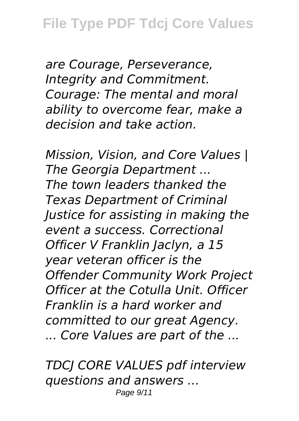*are Courage, Perseverance, Integrity and Commitment. Courage: The mental and moral ability to overcome fear, make a decision and take action.*

*Mission, Vision, and Core Values | The Georgia Department ... The town leaders thanked the Texas Department of Criminal Justice for assisting in making the event a success. Correctional Officer V Franklin Jaclyn, a 15 year veteran officer is the Offender Community Work Project Officer at the Cotulla Unit. Officer Franklin is a hard worker and committed to our great Agency. ... Core Values are part of the ...*

*TDCJ CORE VALUES pdf interview questions and answers ...* Page 9/11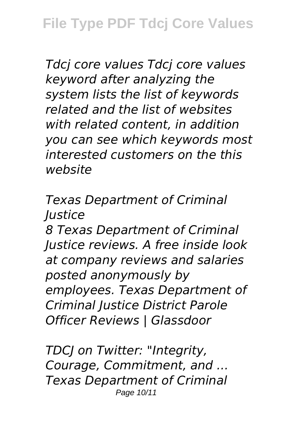*Tdcj core values Tdcj core values keyword after analyzing the system lists the list of keywords related and the list of websites with related content, in addition you can see which keywords most interested customers on the this website*

*Texas Department of Criminal Justice*

*8 Texas Department of Criminal Justice reviews. A free inside look at company reviews and salaries posted anonymously by employees. Texas Department of Criminal Justice District Parole Officer Reviews | Glassdoor*

*TDCJ on Twitter: "Integrity, Courage, Commitment, and ... Texas Department of Criminal* Page 10/11